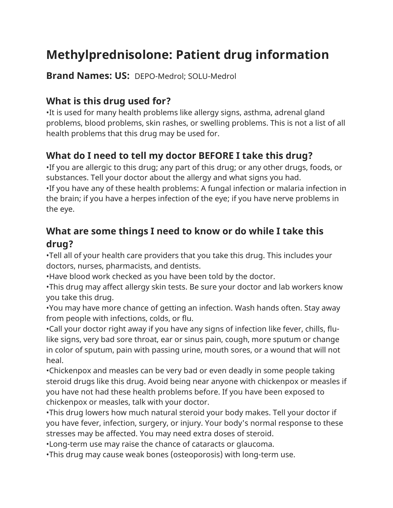# **Methylprednisolone: Patient drug information**

**Brand Names: US:** DEPO-Medrol; SOLU-Medrol

## **What is this drug used for?**

•It is used for many health problems like allergy signs, asthma, adrenal gland problems, blood problems, skin rashes, or swelling problems. This is not a list of all health problems that this drug may be used for.

# **What do I need to tell my doctor BEFORE I take this drug?**

•If you are allergic to this drug; any part of this drug; or any other drugs, foods, or substances. Tell your doctor about the allergy and what signs you had. •If you have any of these health problems: A fungal infection or malaria infection in the brain; if you have a herpes infection of the eye; if you have nerve problems in the eye.

#### **What are some things I need to know or do while I take this drug?**

•Tell all of your health care providers that you take this drug. This includes your doctors, nurses, pharmacists, and dentists.

•Have blood work checked as you have been told by the doctor.

•This drug may affect allergy skin tests. Be sure your doctor and lab workers know you take this drug.

•You may have more chance of getting an infection. Wash hands often. Stay away from people with infections, colds, or flu.

•Call your doctor right away if you have any signs of infection like fever, chills, flulike signs, very bad sore throat, ear or sinus pain, cough, more sputum or change in color of sputum, pain with passing urine, mouth sores, or a wound that will not heal.

•Chickenpox and measles can be very bad or even deadly in some people taking steroid drugs like this drug. Avoid being near anyone with chickenpox or measles if you have not had these health problems before. If you have been exposed to chickenpox or measles, talk with your doctor.

•This drug lowers how much natural steroid your body makes. Tell your doctor if you have fever, infection, surgery, or injury. Your body's normal response to these stresses may be affected. You may need extra doses of steroid.

•Long-term use may raise the chance of cataracts or glaucoma.

•This drug may cause weak bones (osteoporosis) with long-term use.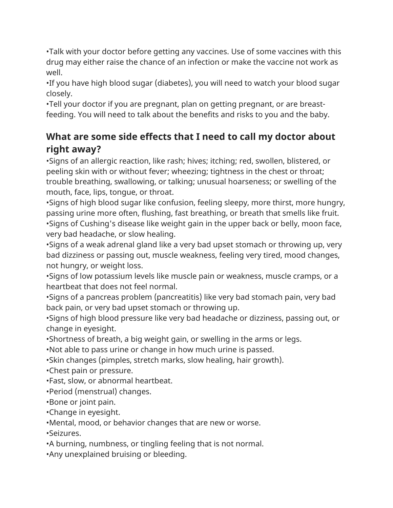•Talk with your doctor before getting any vaccines. Use of some vaccines with this drug may either raise the chance of an infection or make the vaccine not work as well.

•If you have high blood sugar (diabetes), you will need to watch your blood sugar closely.

•Tell your doctor if you are pregnant, plan on getting pregnant, or are breastfeeding. You will need to talk about the benefits and risks to you and the baby.

## **What are some side effects that I need to call my doctor about right away?**

•Signs of an allergic reaction, like rash; hives; itching; red, swollen, blistered, or peeling skin with or without fever; wheezing; tightness in the chest or throat; trouble breathing, swallowing, or talking; unusual hoarseness; or swelling of the mouth, face, lips, tongue, or throat.

•Signs of high blood sugar like confusion, feeling sleepy, more thirst, more hungry, passing urine more often, flushing, fast breathing, or breath that smells like fruit. •Signs of Cushing's disease like weight gain in the upper back or belly, moon face, very bad headache, or slow healing.

•Signs of a weak adrenal gland like a very bad upset stomach or throwing up, very bad dizziness or passing out, muscle weakness, feeling very tired, mood changes, not hungry, or weight loss.

•Signs of low potassium levels like muscle pain or weakness, muscle cramps, or a heartbeat that does not feel normal.

•Signs of a pancreas problem (pancreatitis) like very bad stomach pain, very bad back pain, or very bad upset stomach or throwing up.

•Signs of high blood pressure like very bad headache or dizziness, passing out, or change in eyesight.

•Shortness of breath, a big weight gain, or swelling in the arms or legs.

•Not able to pass urine or change in how much urine is passed.

•Skin changes (pimples, stretch marks, slow healing, hair growth).

•Chest pain or pressure.

•Fast, slow, or abnormal heartbeat.

•Period (menstrual) changes.

•Bone or joint pain.

•Change in eyesight.

•Mental, mood, or behavior changes that are new or worse.

•Seizures.

•A burning, numbness, or tingling feeling that is not normal.

•Any unexplained bruising or bleeding.